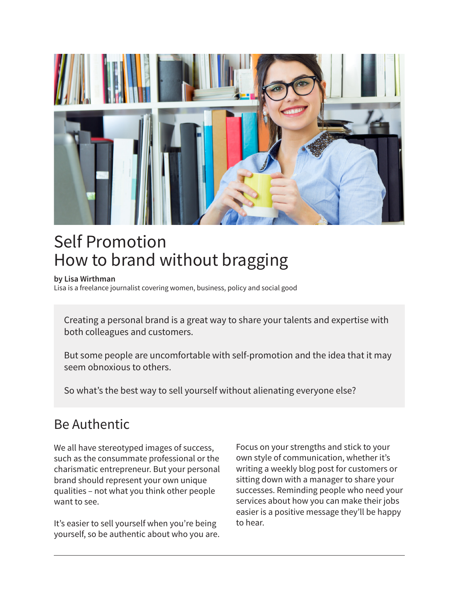

# Self Promotion How to brand without bragging

#### **by Lisa Wirthman**

Lisa is a freelance journalist covering women, business, policy and social good

Creating a personal brand is a great way to share your talents and expertise with both colleagues and customers.

But some people are uncomfortable with self-promotion and the idea that it may seem obnoxious to others.

So what's the best way to sell yourself without alienating everyone else?

#### Be Authentic

We all have stereotyped images of success, such as the consummate professional or the charismatic entrepreneur. But your personal brand should represent your own unique qualities – not what you think other people want to see.

It's easier to sell yourself when you're being yourself, so be authentic about who you are. Focus on your strengths and stick to your own style of communication, whether it's writing a weekly blog post for customers or sitting down with a manager to share your successes. Reminding people who need your services about how you can make their jobs easier is a positive message they'll be happy to hear.